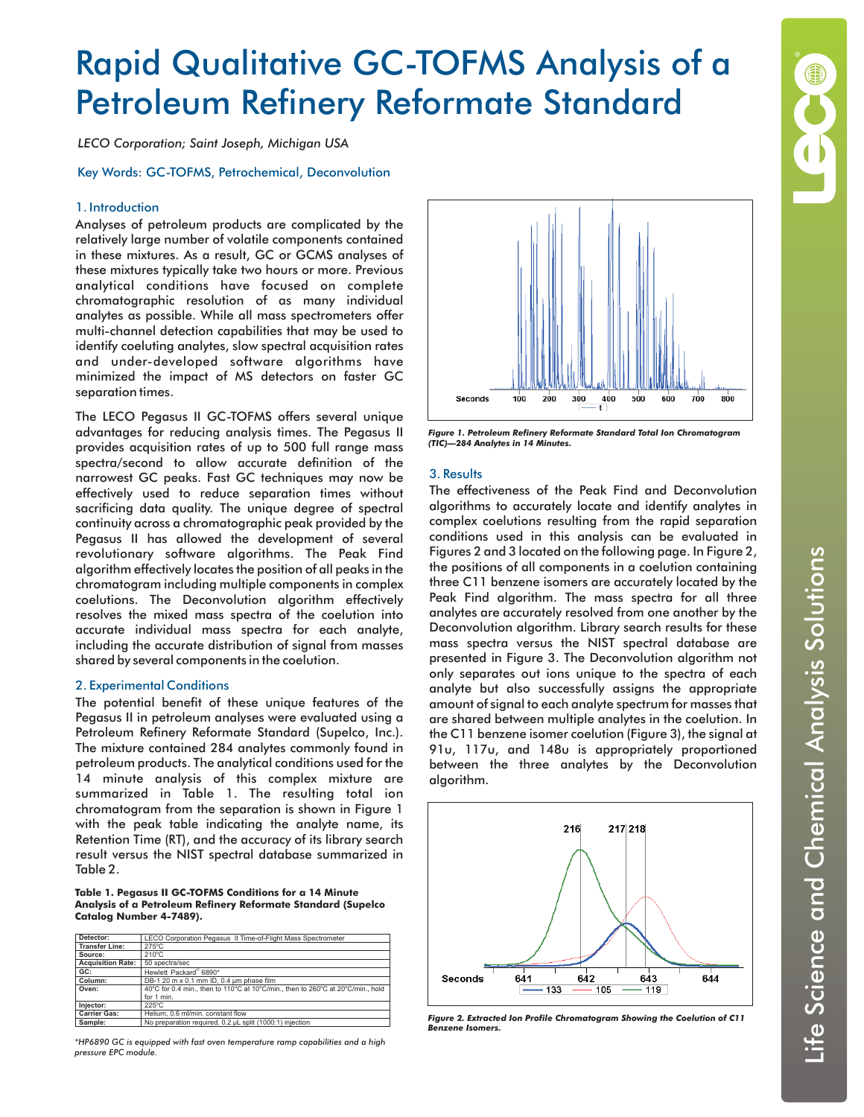# Rapid Qualitative GC-TOFMS Analysis of a Petroleum Refinery Reformate Standard

*LECO Corporation; Saint Joseph, Michigan USA*

# Key Words: GC-TOFMS, Petrochemical, Deconvolution

## 1. Introduction

Analyses of petroleum products are complicated by the relatively large number of volatile components contained in these mixtures. As a result, GC or GCMS analyses of these mixtures typically take two hours or more. Previous analytical conditions have focused on complete chromatographic resolution of as many individual analytes as possible. While all mass spectrometers offer multi-channel detection capabilities that may be used to identify coeluting analytes, slow spectral acquisition rates and under-developed software algorithms have minimized the impact of MS detectors on faster GC separation times.

The LECO Pegasus II GC-TOFMS offers several unique advantages for reducing analysis times. The Pegasus II provides acquisition rates of up to 500 full range mass spectra/second to allow accurate definition of the narrowest GC peaks. Fast GC techniques may now be effectively used to reduce separation times without sacrificing data quality. The unique degree of spectral continuity across a chromatographic peak provided by the Pegasus II has allowed the development of several revolutionary software algorithms. The Peak Find algorithm effectively locates the position of all peaks in the chromatogram including multiple components in complex coelutions. The Deconvolution algorithm effectively resolves the mixed mass spectra of the coelution into accurate individual mass spectra for each analyte, including the accurate distribution of signal from masses shared by several components in the coelution.

#### 2. Experimental Conditions

The potential benefit of these unique features of the Pegasus II in petroleum analyses were evaluated using a Petroleum Refinery Reformate Standard (Supelco, Inc.). The mixture contained 284 analytes commonly found in petroleum products. The analytical conditions used for the 14 minute analysis of this complex mixture are summarized in Table 1. The resulting total ion chromatogram from the separation is shown in Figure 1 with the peak table indicating the analyte name, its Retention Time (RT), and the accuracy of its library search result versus the NIST spectral database summarized in Table 2.

**Table 1. Pegasus II GC-TOFMS Conditions for a 14 Minute Analysis of a Petroleum Refinery Reformate Standard (Supelco Catalog Number 4-7489).**

| Detector:                                                                                | LECO Corporation Pegasus II Time-of-Flight Mass Spectrometer |  |  |
|------------------------------------------------------------------------------------------|--------------------------------------------------------------|--|--|
| <b>Transfer Line:</b>                                                                    | $275^{\circ}$ C                                              |  |  |
| Source:                                                                                  | $210^{\circ}$ C                                              |  |  |
| <b>Acquisition Rate:</b>                                                                 | 50 spectra/sec                                               |  |  |
| GC:                                                                                      | Hewlett Packard® 6890*                                       |  |  |
| Column:                                                                                  | DB-1 20 m x 0.1 mm ID, 0.4 um phase film                     |  |  |
| 40°C for 0.4 min., then to 110°C at 10°C/min., then to 260°C at 20°C/min., hold<br>Oven: |                                                              |  |  |
|                                                                                          | for 1 min.                                                   |  |  |
| Injector:                                                                                | $225^{\circ}$ C                                              |  |  |
| <b>Carrier Gas:</b>                                                                      | Helium, 0.6 ml/min, constant flow                            |  |  |
| Sample:                                                                                  | No preparation required. 0.2 µL split (1000:1) injection     |  |  |

*\*HP6890 GC is equipped with fast oven temperature ramp capabilities and a high pressure EPC module.*



*Figure 1. Petroleum Refinery Reformate Standard Total Ion Chromatogram (TIC)—284 Analytes in 14 Minutes.*

# 3. Results

The effectiveness of the Peak Find and Deconvolution algorithms to accurately locate and identify analytes in complex coelutions resulting from the rapid separation conditions used in this analysis can be evaluated in Figures 2 and 3 located on the following page. In Figure 2, the positions of all components in a coelution containing three C11 benzene isomers are accurately located by the Peak Find algorithm. The mass spectra for all three analytes are accurately resolved from one another by the Deconvolution algorithm. Library search results for these mass spectra versus the NIST spectral database are presented in Figure 3. The Deconvolution algorithm not only separates out ions unique to the spectra of each analyte but also successfully assigns the appropriate amount of signal to each analyte spectrum for masses that are shared between multiple analytes in the coelution. In the C11 benzene isomer coelution (Figure 3), the signal at 91u, 117u, and 148u is appropriately proportioned between the three analytes by the Deconvolution algorithm.



*Figure 2. Extracted Ion Profile Chromatogram Showing the Coelution of C11 Benzene Isomers.*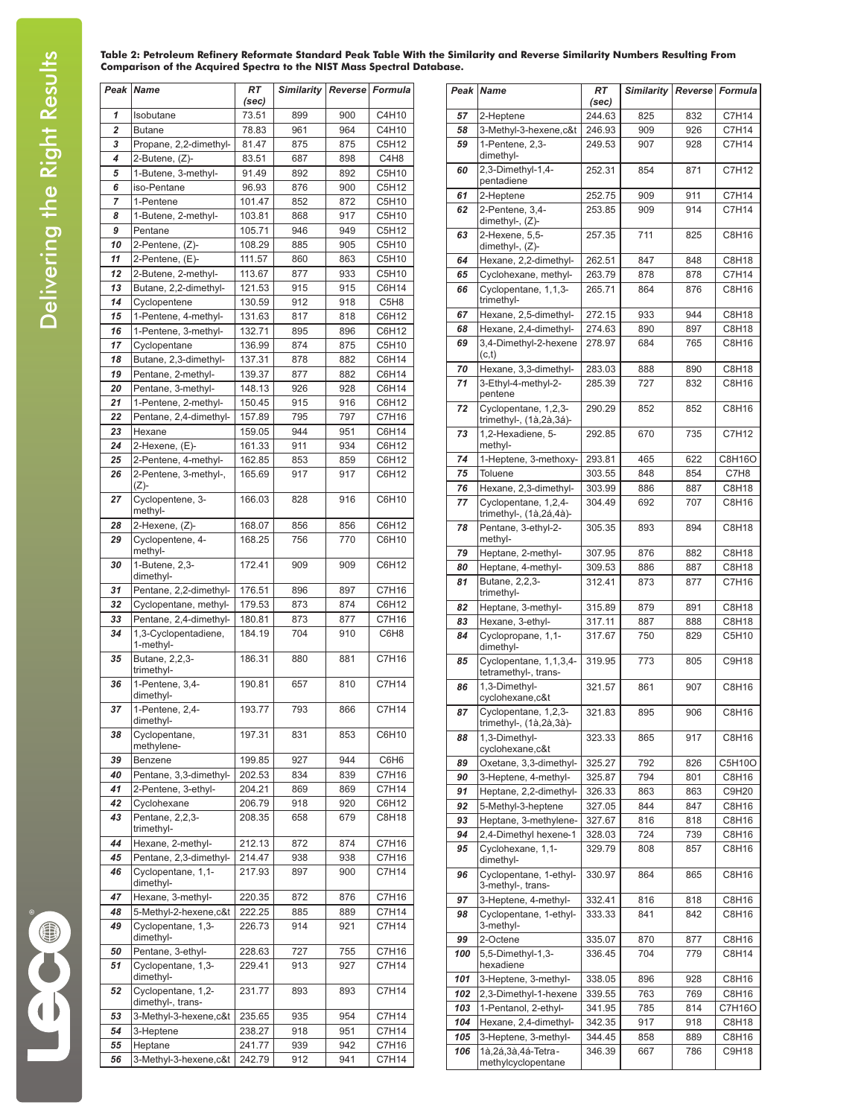#### **Table 2: Petroleum Refinery Reformate Standard Peak Table With the Similarity and Reverse Similarity Numbers Resulting From Comparison of the Acquired Spectra to the NIST Mass Spectral Database.**

|          | Peak <i>Name</i>                                | RT<br>(sec)      | <b>Similarity</b> |            | Reverse Formula  |
|----------|-------------------------------------------------|------------------|-------------------|------------|------------------|
| 1        | Isobutane                                       | 73.51            | 899               | 900        | C4H10            |
| 2        | <b>Butane</b>                                   | 78.83            | 961               | 964        | C4H10            |
| 3        | Propane, 2,2-dimethyl-                          | 81.47            | 875               | 875        | C5H12            |
| 4        | 2-Butene, (Z)-                                  | 83.51            | 687               | 898        | C4H <sub>8</sub> |
| 5        | 1-Butene, 3-methyl-                             | 91.49            | 892               | 892        | C5H10            |
| 6        | iso-Pentane                                     | 96.93            | 876               | 900        | C5H12            |
| 7        | 1-Pentene                                       | 101.47           | 852               | 872        | C5H10            |
| 8        | 1-Butene, 2-methyl-                             | 103.81           | 868               | 917        | C5H10            |
| 9<br>10  | Pentane<br>2-Pentene, (Z)-                      | 105.71<br>108.29 | 946               | 949<br>905 | C5H12<br>C5H10   |
| 11       | 2-Pentene, (E)-                                 | 111.57           | 885<br>860        | 863        | C5H10            |
| 12       | 2-Butene, 2-methyl-                             | 113.67           | 877               | 933        | C5H10            |
| 13       | Butane, 2,2-dimethyl-                           | 121.53           | 915               | 915        | C6H14            |
| 14       | Cyclopentene                                    | 130.59           | 912               | 918        | C5H <sub>8</sub> |
| 15       | 1-Pentene, 4-methyl-                            | 131.63           | 817               | 818        | C6H12            |
| 16       | 1-Pentene, 3-methyl-                            | 132.71           | 895               | 896        | C6H12            |
| 17       | Cyclopentane                                    | 136.99           | 874               | 875        | C5H10            |
| 18       | Butane, 2,3-dimethyl-                           | 137.31           | 878               | 882        | C6H14            |
| 19       | Pentane, 2-methyl-                              | 139.37           | 877               | 882        | C6H14            |
| 20       | Pentane, 3-methyl-                              | 148.13           | 926               | 928        | C6H14            |
| 21       | 1-Pentene, 2-methyl-                            | 150.45           | 915               | 916        | C6H12            |
| 22       | Pentane, 2,4-dimethyl-<br>Hexane                | 157.89           | 795<br>944        | 797<br>951 | C7H16            |
| 23<br>24 |                                                 | 159.05<br>161.33 | 911               | 934        | C6H14<br>C6H12   |
| 25       | 2-Hexene, (E)-<br>2-Pentene, 4-methyl-          | 162.85           | 853               | 859        | C6H12            |
| 26       | 2-Pentene, 3-methyl-,                           | 165.69           | 917               | 917        | C6H12            |
| 27       | (Z)-<br>Cyclopentene, 3-                        | 166.03           | 828               | 916        | C6H10            |
| 28       | methyl-<br>2-Hexene, (Z)-                       | 168.07           | 856               | 856        | C6H12            |
| 29       | Cyclopentene, 4-                                | 168.25           | 756               | 770        | C6H10            |
| 30       | methyl-<br>1-Butene, 2,3-                       | 172.41           | 909               | 909        | C6H12            |
|          | dimethyl-                                       |                  |                   |            |                  |
| 31<br>32 | Pentane, 2,2-dimethyl-<br>Cyclopentane, methyl- | 176.51<br>179.53 | 896<br>873        | 897<br>874 | C7H16<br>C6H12   |
| 33       | Pentane, 2,4-dimethyl-                          | 180.81           | 873               | 877        | C7H16            |
| 34       | 1,3-Cyclopentadiene,<br>1-methyl-               | 184.19           | 704               | 910        | C6H8             |
| 35       | Butane, 2,2,3-<br>trimethyl-                    | 186.31           | 880               | 881        | C7H16            |
| 36       | 1-Pentene, 3.4-<br>dimethyl-                    | 190.81           | 657               | 810        | C7H14            |
| 37       | 1-Pentene, 2,4-<br>dimethyl-                    | 193.77           | 793               | 866        | C7H14            |
| 38       | Cyclopentane,<br>methylene-                     | 197.31           | 831               | 853        | C6H10            |
| 39       | Benzene                                         | 199.85           | 927               | 944        | C6H6             |
| 40<br>41 | Pentane, 3,3-dimethyl-<br>2-Pentene, 3-ethyl-   | 202.53<br>204.21 | 834<br>869        | 839<br>869 | C7H16<br>C7H14   |
| 42       | Cyclohexane                                     | 206.79           | 918               | 920        | C6H12            |
| 43       | Pentane, 2,2,3-<br>trimethyl-                   | 208.35           | 658               | 679        | C8H18            |
| 44       | Hexane, 2-methyl-                               | 212.13           | 872               | 874        | C7H16            |
| 45       | Pentane, 2,3-dimethyl-                          | 214.47           | 938               | 938        | C7H16            |
| 46       | Cyclopentane, 1,1-<br>dimethyl-                 | 217.93           | 897               | 900        | C7H14            |
| 47       | Hexane, 3-methyl-                               | 220.35           | 872               | 876        | C7H16            |
| 48       | 5-Methyl-2-hexene, c&t                          | 222.25           | 885               | 889        | C7H14            |
| 49       | Cyclopentane, 1,3-<br>dimethyl-                 | 226.73           | 914               | 921        | C7H14            |
| 50       | Pentane, 3-ethyl-                               | 228.63           | 727               | 755        | C7H16            |
| 51       | Cyclopentane, 1,3-<br>dimethyl-                 | 229.41           | 913               | 927        | C7H14            |
| 52       | Cyclopentane, 1,2-<br>dimethyl-, trans-         | 231.77           | 893               | 893        | C7H14            |
| 53<br>54 | 3-Methyl-3-hexene, c&t<br>3-Heptene             | 235.65<br>238.27 | 935<br>918        | 954<br>951 | C7H14<br>C7H14   |
| 55       | Heptane                                         | 241.77           | 939               | 942        | C7H16            |
| 56       | 3-Methyl-3-hexene, c&t                          | 242.79           | 912               | 941        | C7H14            |

|            | Peak Name                                                  | <b>RT</b>        | <b>Similarity</b> | Reverse    | Formula         |
|------------|------------------------------------------------------------|------------------|-------------------|------------|-----------------|
|            |                                                            | (sec)            |                   |            |                 |
| 57         | 2-Heptene                                                  | 244.63           | 825               | 832        | C7H14           |
| 58         | 3-Methyl-3-hexene, c&t                                     | 246.93           | 909               | 926        | C7H14           |
| 59         | 1-Pentene, 2,3-<br>dimethyl-                               | 249.53           | 907               | 928        | C7H14           |
| 60         | 2,3-Dimethyl-1,4-<br>pentadiene                            | 252.31           | 854               | 871        | C7H12           |
| 61         | 2-Heptene                                                  | 252.75           | 909               | 911        | C7H14           |
| 62         | 2-Pentene, 3,4-                                            | 253.85           | 909               | 914        | C7H14           |
| 63         | dimethyl-, (Z)-<br>2-Hexene, 5,5-<br>dimethyl-, (Z)-       | 257.35           | 711               | 825        | C8H16           |
| 64         | Hexane, 2,2-dimethyl-                                      | 262.51           | 847               | 848        | C8H18           |
| 65         | Cyclohexane, methyl-                                       | 263.79           | 878               | 878        | C7H14           |
| 66         | Cyclopentane, 1,1,3-<br>trimethyl-                         | 265.71           | 864               | 876        | C8H16           |
| 67         | Hexane, 2,5-dimethyl-                                      | 272.15           | 933               | 944        | C8H18           |
| 68         | Hexane, 2,4-dimethyl-                                      | 274.63           | 890               | 897        | C8H18           |
| 69         | 3,4-Dimethyl-2-hexene<br>(c,t)                             | 278.97           | 684               | 765        | C8H16           |
| 70         | Hexane, 3,3-dimethyl-                                      | 283.03           | 888               | 890        | C8H18           |
| 71         | 3-Ethyl-4-methyl-2-                                        | 285.39           | 727               | 832        | C8H16           |
| 72         | pentene<br>Cyclopentane, 1,2,3-<br>trimethyl-, (1à,2à,3á)- | 290.29           | 852               | 852        | C8H16           |
| 73         | 1,2-Hexadiene, 5-<br>methyl-                               | 292.85           | 670               | 735        | C7H12           |
| 74         | 1-Heptene, 3-methoxy-                                      | 293.81           | 465               | 622        | C8H16O          |
| 75         | <b>Toluene</b>                                             | 303.55           | 848               | 854        | C7H8            |
| 76         | Hexane, 2,3-dimethyl-                                      | 303.99           | 886               | 887        | C8H18           |
| 77         | Cyclopentane, 1,2,4-<br>trimethyl-, (1à,2á,4à)-            | 304.49           | 692               | 707        | C8H16           |
| 78         | Pentane, 3-ethyl-2-<br>methyl-                             | 305.35           | 893               | 894        | C8H18           |
| 79         | Heptane, 2-methyl-                                         | 307.95           | 876               | 882        | C8H18           |
| 80         | Heptane, 4-methyl-                                         | 309.53           | 886               | 887        | C8H18           |
| 81         | Butane, 2,2,3-<br>trimethyl-                               | 312.41           | 873               | 877        | C7H16           |
| 82         | Heptane, 3-methyl-                                         | 315.89           | 879               | 891        | C8H18           |
| 83         | Hexane, 3-ethyl-                                           | 317.11           | 887               | 888        | C8H18           |
| 84         | Cyclopropane, 1,1-<br>dimethyl-                            | 317.67           | 750               | 829        | C5H10           |
| 85         | Cyclopentane, 1,1,3,4-<br>tetramethyl-, trans-             | 319.95           | 773               | 805        | C9H18           |
| 86         | 1.3-Dimethyl-<br>cyclohexane, c&t                          | 321.57           | 861               | 907        | C8H16           |
| 87         | Cyclopentane, 1,2,3-<br>trimethyl-, (1à,2à,3à)-            | 321.83           | 895               | 906        | C8H16           |
| 88         | 1.3-Dimethyl-<br>cyclohexane, c&t                          | 323.33           | 865               | 917        | C8H16           |
| 89<br>90   | Oxetane, 3,3-dimethyl-<br>3-Heptene, 4-methyl-             | 325.27<br>325.87 | 792<br>794        | 826<br>801 | C5H10O<br>C8H16 |
| 91         | Heptane, 2,2-dimethyl-                                     | 326.33           | 863               | 863        | C9H20           |
| 92         | 5-Methyl-3-heptene                                         | 327.05           | 844               | 847        | C8H16           |
| 93         | Heptane, 3-methylene-                                      | 327.67           | 816               | 818        | C8H16           |
| 94         | 2,4-Dimethyl hexene-1                                      | 328.03           | 724               | 739        | C8H16           |
| 95         | Cyclohexane, 1,1-<br>dimethyl-                             | 329.79           | 808               | 857        | C8H16           |
| 96         | Cyclopentane, 1-ethyl-<br>3-methyl-, trans-                | 330.97           | 864               | 865        | C8H16           |
| 97         | 3-Heptene, 4-methyl-                                       | 332.41           | 816               | 818        | C8H16           |
| 98         | Cyclopentane, 1-ethyl-<br>3-methyl-                        | 333.33           | 841               | 842        | C8H16           |
| 99         | 2-Octene                                                   | 335.07           | 870               | 877        | C8H16           |
| 100        | 5,5-Dimethyl-1,3-<br>hexadiene                             | 336.45           | 704               | 779        | C8H14           |
| 101        | 3-Heptene, 3-methyl-                                       | 338.05           | 896               | 928        | C8H16           |
| 102<br>103 | 2,3-Dimethyl-1-hexene<br>1-Pentanol, 2-ethyl-              | 339.55<br>341.95 | 763<br>785        | 769<br>814 | C8H16<br>C7H16O |
| 104        | Hexane, 2,4-dimethyl-                                      | 342.35           | 917               | 918        | C8H18           |
| 105        | 3-Heptene, 3-methyl-                                       | 344.45           | 858               | 889        | C8H16           |
| 106        | 1à,2á,3à,4á-Tetra-                                         | 346.39           | 667               | 786        | C9H18           |
|            | methylcyclopentane                                         |                  |                   |            |                 |

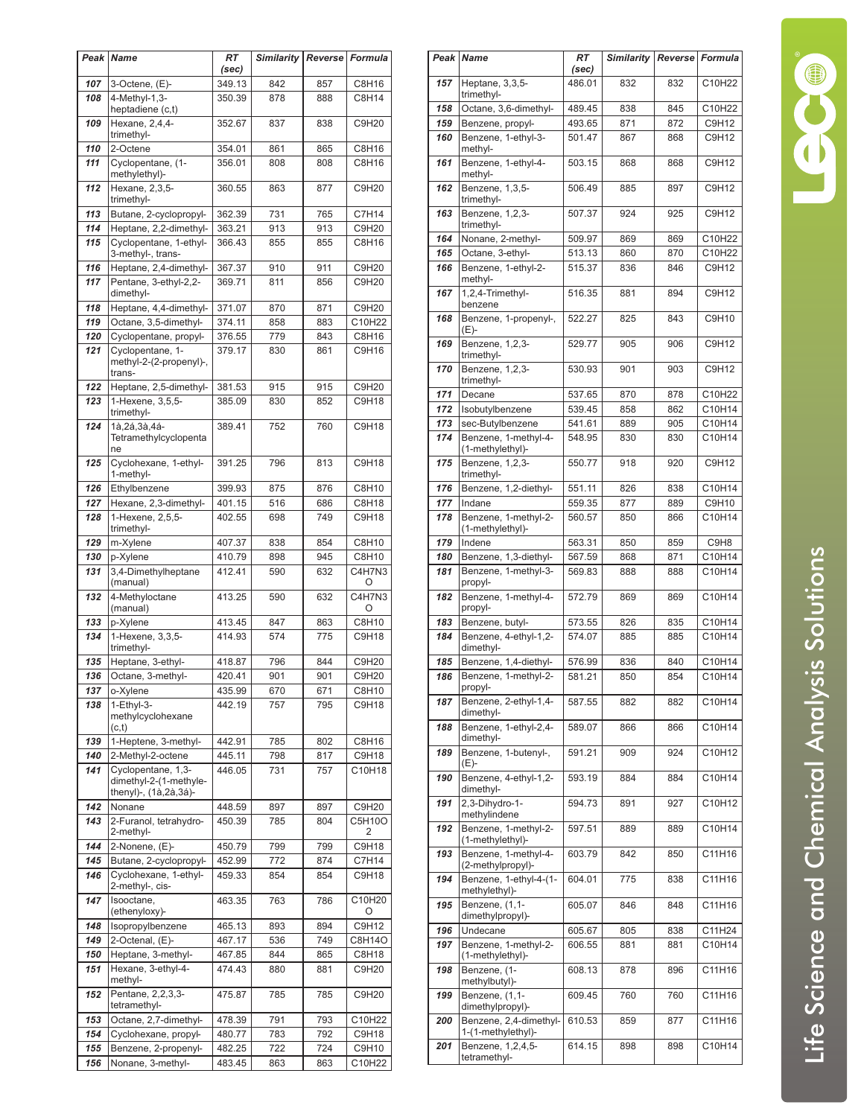| Peak       | <b>Name</b>                                                           | <b>RT</b><br>(sec) | <b>Similarity</b> | Reverse    | Formula        |
|------------|-----------------------------------------------------------------------|--------------------|-------------------|------------|----------------|
| 107        | 3-Octene, (E)-                                                        | 349.13             | 842               | 857        | C8H16          |
| 108        | 4-Methyl-1,3-                                                         | 350.39             | 878               | 888        | C8H14          |
| 109        | heptadiene (c,t)<br>Hexane, 2,4,4-                                    | 352.67             | 837               | 838        | C9H20          |
|            | trimethyl-                                                            |                    |                   |            |                |
| 110        | 2-Octene                                                              | 354.01             | 861               | 865        | C8H16          |
| 111        | Cyclopentane, (1-<br>methylethyl)-                                    | 356.01             | 808               | 808        | C8H16          |
| 112        | Hexane, 2,3,5-<br>trimethyl-                                          | 360.55             | 863               | 877        | C9H20          |
| 113        | Butane, 2-cyclopropyl-                                                | 362.39             | 731               | 765        | C7H14          |
| 114<br>115 | Heptane, 2,2-dimethyl-<br>Cyclopentane, 1-ethyl-                      | 363.21<br>366.43   | 913<br>855        | 913<br>855 | C9H20<br>C8H16 |
|            | 3-methyl-, trans-                                                     |                    |                   |            |                |
| 116        | Heptane, 2,4-dimethyl-                                                | 367.37             | 910               | 911        | C9H20          |
| 117        | Pentane, 3-ethyl-2,2-<br>dimethyl-                                    | 369.71             | 811               | 856        | C9H20          |
| 118        | Heptane, 4,4-dimethyl-                                                | 371.07             | 870               | 871        | C9H20          |
| 119        | Octane, 3,5-dimethyl-                                                 | 374.11             | 858               | 883        | C10H22         |
| 120<br>121 | Cyclopentane, propyl-<br>Cyclopentane, 1-                             | 376.55<br>379.17   | 779<br>830        | 843<br>861 | C8H16<br>C9H16 |
|            | methyl-2-(2-propenyl)-,<br>trans-                                     |                    |                   |            |                |
| 122        | Heptane, 2,5-dimethyl-                                                | 381.53             | 915               | 915        | C9H20          |
| 123        | 1-Hexene, 3,5,5-<br>trimethyl-                                        | 385.09             | 830               | 852        | C9H18          |
| 124        | 1à,2á,3à,4á-<br>Tetramethylcyclopenta<br>ne                           | 389.41             | 752               | 760        | C9H18          |
| 125        | Cyclohexane, 1-ethyl-<br>1-methyl-                                    | 391.25             | 796               | 813        | C9H18          |
| 126        | Ethylbenzene                                                          | 399.93             | 875               | 876        | C8H10          |
| 127        | Hexane, 2,3-dimethyl-                                                 | 401.15             | 516               | 686        | C8H18          |
| 128        | 1-Hexene, 2,5,5-<br>trimethyl-                                        | 402.55             | 698               | 749        | C9H18          |
| 129<br>130 | m-Xylene                                                              | 407.37<br>410.79   | 838<br>898        | 854<br>945 | C8H10<br>C8H10 |
| 131        | p-Xylene<br>3,4-Dimethylheptane                                       | 412.41             | 590               | 632        | C4H7N3         |
| 132        | (manual)<br>4-Methyloctane                                            | 413.25             | 590               | 632        | Ο<br>C4H7N3    |
|            | (manual)                                                              |                    |                   |            | O              |
| 133        | p-Xylene                                                              | 413.45             | 847               | 863        | C8H10          |
| 134        | 1-Hexene, 3,3,5-<br>trimethyl-                                        | 414.93             | 574               | 775        | C9H18          |
| 135        | Heptane, 3-ethyl-<br>Octane. 3-methyl-                                | 418.87             | 796               | 844        | C9H20          |
| 136<br>137 | o-Xylene                                                              | 420.41<br>435.99   | 901<br>670        | 901<br>671 | C9H20<br>C8H10 |
| 138        | 1-Ethyl-3-<br>methylcyclohexane<br>(c,t)                              | 442.19             | 757               | 795        | C9H18          |
| 139        | 1-Heptene, 3-methyl-                                                  | 442.91             | 785               | 802        | C8H16          |
| 140        | 2-Methyl-2-octene                                                     | 445.11             | 798               | 817        | C9H18          |
| 141        | Cyclopentane, 1,3-<br>dimethyl-2-(1-methyle-<br>thenyl)-, (1à,2à,3á)- | 446.05             | 731               | 757        | C10H18         |
| 142        | Nonane                                                                | 448.59             | 897               | 897        | C9H20          |
| 143        | 2-Furanol, tetrahydro-<br>2-methyl-                                   | 450.39             | 785               | 804        | C5H10O<br>2    |
| 144        | 2-Nonene, (E)-                                                        | 450.79             | 799               | 799        | C9H18          |
| 145<br>146 | Butane, 2-cyclopropyl-<br>Cyclohexane, 1-ethyl-                       | 452.99<br>459.33   | 772<br>854        | 874<br>854 | C7H14<br>C9H18 |
| 147        | 2-methyl-, cis-<br>Isooctane,                                         | 463.35             | 763               | 786        | C10H20         |
| 148        | (ethenyloxy)-<br>Isopropylbenzene                                     | 465.13             | 893               | 894        | O<br>C9H12     |
| 149        | 2-Octenal, (E)-                                                       | 467.17             | 536               | 749        | C8H14O         |
| 150        | Heptane, 3-methyl-                                                    | 467.85             | 844               | 865        | C8H18          |
| 151        | Hexane, 3-ethyl-4-                                                    | 474.43             | 880               | 881        | C9H20          |
| 152        | methyl-<br>Pentane, 2,2,3,3-<br>tetramethyl-                          | 475.87             | 785               | 785        | C9H20          |
| 153        | Octane, 2,7-dimethyl-                                                 | 478.39             | 791               | 793        | C10H22         |
| 154        | Cyclohexane, propyl-                                                  | 480.77             | 783               | 792        | C9H18          |
| 155        | Benzene, 2-propenyl-                                                  | 482.25             | 722               | 724        | C9H10          |
| 156        | Nonane, 3-methyl-                                                     | 483.45             | 863               | 863        | C10H22         |

|            | Peak Name                                    | RT<br>(sec)      | Similarity   Reverse   Formula |            |                  |
|------------|----------------------------------------------|------------------|--------------------------------|------------|------------------|
| 157        | Heptane, 3,3,5-                              | 486.01           | 832                            | 832        | C10H22           |
|            | trimethyl-                                   |                  |                                |            |                  |
| 158        | Octane, 3,6-dimethyl-                        | 489.45           | 838                            | 845        | C10H22           |
| 159        | Benzene, propyl-                             | 493.65           | 871                            | 872        | C9H12            |
| 160        | Benzene, 1-ethyl-3-<br>methyl-               | 501.47           | 867                            | 868        | C9H12            |
| 161        | Benzene, 1-ethyl-4-<br>methyl-               | 503.15           | 868                            | 868        | C9H12            |
| 162        | Benzene, 1,3,5-<br>trimethyl-                | 506.49           | 885                            | 897        | C9H12            |
| 163        | Benzene, 1,2,3-<br>trimethyl-                | 507.37           | 924                            | 925        | C9H12            |
| 164        | Nonane, 2-methyl-                            | 509.97           | 869                            | 869        | C10H22           |
| 165        | Octane, 3-ethyl-                             | 513.13           | 860                            | 870        | C10H22<br>C9H12  |
| 166        | Benzene, 1-ethyl-2-<br>methyl-               | 515.37           | 836                            | 846        |                  |
| 167        | 1,2,4-Trimethyl-<br>benzene                  | 516.35           | 881                            | 894        | C9H12            |
| 168        | Benzene, 1-propenyl-,<br>(E)-                | 522.27           | 825                            | 843        | C9H10            |
| 169        | Benzene, 1,2,3-<br>trimethyl-                | 529.77           | 905                            | 906        | C9H12            |
| 170        | Benzene, 1,2,3-<br>trimethyl-                | 530.93           | 901                            | 903        | C9H12            |
| 171<br>172 | Decane<br>Isobutylbenzene                    | 537.65<br>539.45 | 870<br>858                     | 878<br>862 | C10H22<br>C10H14 |
| 173        | sec-Butylbenzene                             | 541.61           | 889                            | 905        | C10H14           |
| 174        | Benzene, 1-methyl-4-                         | 548.95           | 830                            | 830        | C10H14           |
| 175        | (1-methylethyl)-<br>Benzene, 1,2,3-          | 550.77           | 918                            | 920        | C9H12            |
| 176        | trimethyl-<br>Benzene, 1,2-diethyl-          |                  |                                |            | C10H14           |
| 177        | Indane                                       | 551.11<br>559.35 | 826<br>877                     | 838<br>889 | C9H10            |
| 178        | Benzene, 1-methyl-2-<br>(1-methylethyl)-     | 560.57           | 850                            | 866        | C10H14           |
| 179        | Indene                                       | 563.31           | 850                            | 859        | C9H8             |
| 180        | Benzene, 1,3-diethyl-                        | 567.59           | 868                            | 871        | C10H14           |
| 181        | Benzene, 1-methyl-3-<br>propyl-              | 569.83           | 888                            | 888        | C10H14           |
| 182        | Benzene, 1-methyl-4-<br>propyl-              | 572.79           | 869                            | 869        | C10H14           |
| 183        | Benzene, butyl-                              | 573.55           | 826                            | 835        | C10H14           |
| 184        | Benzene, 4-ethyl-1,2-<br>dimethyl-           | 574.07           | 885                            | 885        | C10H14           |
| 185        | Benzene, 1,4-diethyl-                        | 576.99           | 836                            | 840        | C10H14           |
| 186        | Benzene, 1-methyl-2-<br>propyl-              | 581.21           | 850                            | 854        | C10H14           |
| 187        | Benzene, 2-ethyl-1,4-<br>dimethyl-           | 587.55           | 882                            | 882        | C10H14           |
| 188        | Benzene, 1-ethyl-2,4-<br>dimethyl-           | 589.07           | 866                            | 866        | C10H14           |
| 189        | Benzene, 1-butenyl-,<br>(E)-                 | 591.21           | 909                            | 924        | C10H12           |
| 190        | Benzene, 4-ethyl-1,2-<br>dimethyl-           | 593.19           | 884                            | 884        | C10H14           |
| 191        | 2,3-Dihydro-1-<br>methylindene               | 594.73           | 891                            | 927        | C10H12           |
| 192        | Benzene, 1-methyl-2-<br>(1-methylethyl)-     | 597.51           | 889                            | 889        | C10H14           |
| 193        | Benzene, 1-methyl-4-<br>(2-methylpropyl)-    | 603.79           | 842                            | 850        | C11H16           |
| 194        | Benzene, 1-ethyl-4-(1-<br>methylethyl)-      | 604.01           | 775                            | 838        | C11H16           |
| 195        | Benzene, (1,1-<br>dimethylpropyl)-           | 605.07           | 846                            | 848        | C11H16           |
| 196        | Undecane                                     | 605.67           | 805                            | 838        | C11H24           |
| 197        | Benzene, 1-methyl-2-<br>(1-methylethyl)-     | 606.55           | 881                            | 881        | C10H14           |
| 198        | Benzene, (1-<br>methylbutyl)-                | 608.13           | 878                            | 896        | C11H16           |
| 199        | Benzene, (1,1-<br>dimethylpropyl)-           | 609.45           | 760                            | 760        | C11H16           |
| 200        | Benzene, 2,4-dimethyl-<br>1-(1-methylethyl)- | 610.53           | 859                            | 877        | C11H16           |
| 201        | Benzene, 1,2,4,5-<br>tetramethyl-            | 614.15           | 898                            | 898        | C10H14           |

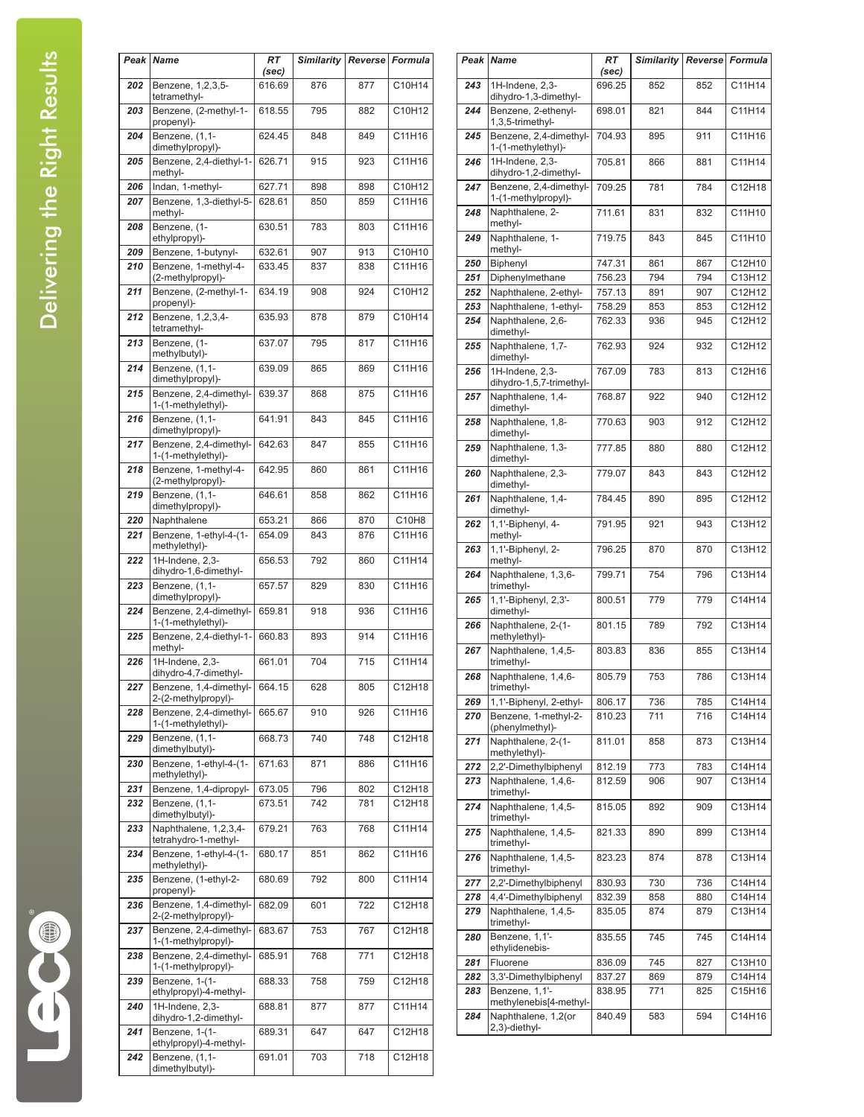|     | Peak Name                                      | <b>RT</b><br>(sec) | <b>Similarity</b> | <b>Reverse</b> Formula |        |
|-----|------------------------------------------------|--------------------|-------------------|------------------------|--------|
| 202 | Benzene, 1,2,3,5-<br>tetramethyl-              | 616.69             | 876               | 877                    | C10H14 |
| 203 | Benzene, (2-methyl-1-<br>propenyl)-            | 618.55             | 795               | 882                    | C10H12 |
| 204 | Benzene, (1,1-                                 | 624.45             | 848               | 849                    | C11H16 |
| 205 | dimethylpropyl)-<br>Benzene, 2,4-diethyl-1-    | 626.71             | 915               | 923                    | C11H16 |
|     | methyl-                                        |                    |                   |                        |        |
| 206 | Indan, 1-methyl-                               | 627.71             | 898               | 898                    | C10H12 |
| 207 | Benzene, 1,3-diethyl-5-<br>methyl-             | 628.61             | 850               | 859                    | C11H16 |
| 208 | Benzene, (1-<br>ethylpropyl)-                  | 630.51             | 783               | 803                    | C11H16 |
| 209 | Benzene, 1-butynyl-                            | 632.61             | 907               | 913                    | C10H10 |
| 210 | Benzene, 1-methyl-4-                           | 633.45             | 837               | 838                    | C11H16 |
| 211 | (2-methylpropyl)-<br>Benzene, (2-methyl-1-     | 634.19             | 908               | 924                    | C10H12 |
| 212 | propenyl)-<br>Benzene, 1,2,3,4-                | 635.93             | 878               | 879                    | C10H14 |
| 213 | tetramethyl-<br>Benzene, (1-                   | 637.07             | 795               | 817                    | C11H16 |
| 214 | methylbutyl)-<br>Benzene, (1,1-                | 639.09             | 865               | 869                    | C11H16 |
|     | dimethylpropyl)-                               |                    |                   |                        |        |
| 215 | Benzene, 2,4-dimethyl-<br>1-(1-methylethyl)-   | 639.37             | 868               | 875                    | C11H16 |
| 216 | Benzene, (1,1-<br>dimethylpropyl)-             | 641.91             | 843               | 845                    | C11H16 |
| 217 | Benzene, 2,4-dimethyl-<br>1-(1-methylethyl)-   | 642.63             | 847               | 855                    | C11H16 |
| 218 | Benzene, 1-methyl-4-<br>(2-methylpropyl)-      | 642.95             | 860               | 861                    | C11H16 |
| 219 | Benzene, (1,1-<br>dimethylpropyl)-             | 646.61             | 858               | 862                    | C11H16 |
| 220 | Naphthalene                                    | 653.21             | 866               | 870                    | C10H8  |
| 221 | Benzene, 1-ethyl-4-(1-                         | 654.09             | 843               | 876                    | C11H16 |
|     | methylethyl)-                                  |                    |                   |                        |        |
| 222 | 1H-Indene, 2,3-<br>dihydro-1,6-dimethyl-       | 656.53             | 792               | 860                    | C11H14 |
| 223 | Benzene, (1,1-<br>dimethylpropyl)-             | 657.57             | 829               | 830                    | C11H16 |
| 224 | Benzene, 2,4-dimethyl-<br>1-(1-methylethyl)-   | 659.81             | 918               | 936                    | C11H16 |
| 225 | Benzene, 2,4-diethyl-1-<br>methyl-             | 660.83             | 893               | 914                    | C11H16 |
| 226 | 1H-Indene, 2,3-<br>dihydro-4,7-dimethyl-       | 661.01             | 704               | 715                    | C11H14 |
| 227 | Benzene, 1,4-dimethyl-<br>2-(2-methylpropyl)-  | 664.15             | 628               | 805                    | C12H18 |
| 228 | Benzene, 2,4-dimethyl-<br>1-(1-methylethyl)-   | 665.67             | 910               | 926                    | C11H16 |
| 229 | Benzene, (1,1-<br>dimethylbutyl)-              | 668.73             | 740               | 748                    | C12H18 |
| 230 | Benzene, 1-ethyl-4-(1-                         | 671.63             | 871               | 886                    | C11H16 |
| 231 | methylethyl)-<br>Benzene, 1,4-dipropyl-        | 673.05             | 796               | 802                    | C12H18 |
| 232 | Benzene, (1,1-                                 | 673.51             | 742               | 781                    | C12H18 |
| 233 | dimethylbutyl)-<br>Naphthalene, 1,2,3,4-       | 679.21             | 763               | 768                    | C11H14 |
| 234 | tetrahydro-1-methyl-<br>Benzene, 1-ethyl-4-(1- | 680.17             | 851               | 862                    | C11H16 |
|     | methylethyl)-                                  |                    |                   |                        |        |
| 235 | Benzene, (1-ethyl-2-<br>propenyl)-             | 680.69             | 792               | 800                    | C11H14 |
| 236 | Benzene, 1,4-dimethyl-<br>2-(2-methylpropyl)-  | 682.09             | 601               | 722                    | C12H18 |
| 237 | Benzene, 2,4-dimethyl-<br>1-(1-methylpropyl)-  | 683.67             | 753               | 767                    | C12H18 |
| 238 | Benzene, 2,4-dimethyl-<br>1-(1-methylpropyl)-  | 685.91             | 768               | 771                    | C12H18 |
| 239 | Benzene, 1-(1-<br>ethylpropyl)-4-methyl-       | 688.33             | 758               | 759                    | C12H18 |
| 240 | $1H$ -Indene, 2,3-<br>dihydro-1,2-dimethyl-    | 688.81             | 877               | 877                    | C11H14 |
| 241 | Benzene, 1-(1-<br>ethylpropyl)-4-methyl-       | 689.31             | 647               | 647                    | C12H18 |
| 242 | Benzene, (1,1-<br>dimethylbutyl)-              | 691.01             | 703               | 718                    | C12H18 |
|     |                                                |                    |                   |                        |        |

|            | Peak Name                                               | RT<br>(sec)      | <b>Similarity</b> | Reverse    | Formula          |
|------------|---------------------------------------------------------|------------------|-------------------|------------|------------------|
| 243        | 1H-Indene, 2,3-<br>dihydro-1,3-dimethyl-                | 696.25           | 852               | 852        | C11H14           |
| 244        | Benzene, 2-ethenyl-<br>1,3,5-trimethyl-                 | 698.01           | 821               | 844        | C11H14           |
| 245        | Benzene, 2,4-dimethyl-<br>1-(1-methylethyl)-            | 704.93           | 895               | 911        | C11H16           |
| 246        | 1H-Indene, 2,3-<br>dihydro-1,2-dimethyl-                | 705.81           | 866               | 881        | C11H14           |
| 247        | Benzene, 2,4-dimethyl-<br>1-(1-methylpropyl)-           | 709.25           | 781               | 784        | C12H18           |
| 248        | Naphthalene, 2-<br>methyl-                              | 711.61           | 831               | 832        | C11H10           |
| 249        | Naphthalene, 1-<br>methyl-                              | 719.75           | 843               | 845        | C11H10           |
| 250        | Biphenyl                                                | 747.31           | 861               | 867        | C12H10           |
| 251        | Diphenylmethane                                         | 756.23           | 794               | 794        | C13H12           |
| 252        | Naphthalene, 2-ethyl-                                   | 757.13           | 891               | 907        | C12H12           |
| 253        | Naphthalene, 1-ethyl-                                   | 758.29           | 853               | 853        | C12H12           |
| 254        | Naphthalene, 2,6-<br>dimethyl-                          | 762.33           | 936               | 945        | C12H12           |
| 255        | Naphthalene, 1,7-<br>dimethyl-                          | 762.93           | 924               | 932        | C12H12           |
| 256        | 1H-Indene, 2,3-<br>dihydro-1,5,7-trimethyl-             | 767.09           | 783               | 813        | C12H16           |
| 257        | Naphthalene, 1,4-<br>dimethyl-                          | 768.87           | 922               | 940        | C12H12           |
| 258        | Naphthalene, 1,8-<br>dimethyl-                          | 770.63           | 903               | 912        | C12H12           |
| 259        | Naphthalene, 1,3-<br>dimethyl-                          | 777.85           | 880               | 880        | C12H12           |
| 260        | Naphthalene, 2,3-<br>dimethyl-                          | 779.07           | 843               | 843        | C12H12           |
| 261        | Naphthalene, 1,4-<br>dimethyl-                          | 784.45           | 890               | 895        | C12H12           |
| 262        | 1,1'-Biphenyl, 4-<br>methyl-                            | 791.95           | 921               | 943        | C13H12           |
| 263        | 1,1'-Biphenyl, 2-<br>methyl-                            | 796.25           | 870               | 870        | C13H12           |
| 264        | Naphthalene, 1,3,6-<br>trimethyl-                       | 799.71           | 754               | 796        | C13H14           |
| 265        | 1,1'-Biphenyl, 2,3'-<br>dimethyl-<br>Naphthalene, 2-(1- | 800.51           | 779               | 779        | C14H14           |
| 266        | methylethyl)-                                           | 801.15           | 789               | 792        | C13H14           |
| 267        | Naphthalene, 1,4,5-<br>trimethyl-                       | 803.83           | 836               | 855        | C13H14           |
| 268        | Naphthalene, 1,4,6-<br>trimethyl-                       | 805.79           | 753               | 786        | C13H14           |
| 269<br>270 | 1,1'-Biphenyl, 2-ethyl-<br>Benzene, 1-methyl-2-         | 806.17<br>810.23 | 736<br>711        | 785<br>716 | C14H14<br>C14H14 |
| 271        | (phenylmethyl)-<br>Naphthalene, 2-(1-<br>methylethyl)-  | 811.01           | 858               | 873        | C13H14           |
| 272        | 2,2'-Dimethylbiphenyl                                   | 812.19           | 773               | 783        | C14H14           |
| 273        | Naphthalene, 1,4,6-<br>trimethyl-                       | 812.59           | 906               | 907        | C13H14           |
| 274        | Naphthalene, 1,4,5-<br>trimethyl-                       | 815.05           | 892               | 909        | C13H14           |
| 275        | Naphthalene, 1,4,5-<br>trimethyl-                       | 821.33           | 890               | 899        | C13H14           |
| 276        | Naphthalene, 1,4,5-<br>trimethyl-                       | 823.23           | 874               | 878        | C13H14           |
| 277        | 2,2'-Dimethylbiphenyl                                   | 830.93           | 730               | 736        | C14H14           |
| 278        | 4,4'-Dimethylbiphenyl                                   | 832.39           | 858               | 880        | C14H14           |
| 279        | Naphthalene, 1,4,5-<br>trimethyl-                       | 835.05           | 874               | 879        | C13H14           |
| 280        | Benzene, 1,1'-<br>ethylidenebis-                        | 835.55           | 745               | 745        | C14H14           |
| 281        | Fluorene                                                | 836.09           | 745               | 827        | C13H10           |
| 282        | 3,3'-Dimethylbiphenyl                                   | 837.27           | 869               | 879        | C14H14           |
| 283        | Benzene, 1,1'-<br>methylenebis[4-methyl-                | 838.95           | 771               | 825        | C15H16           |
| 284        | Naphthalene, 1,2(or<br>2,3)-diethyl-                    | 840.49           | 583               | 594        | C14H16           |